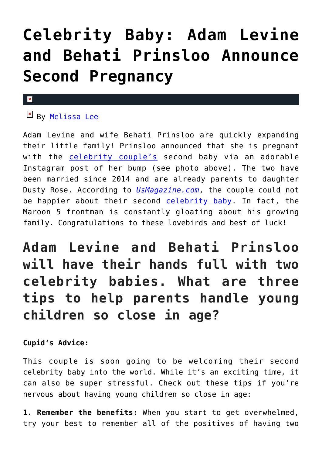# **[Celebrity Baby: Adam Levine](https://cupidspulse.com/120751/celebrity-baby-adam-levine-behati-prinsloo-second-pregnancy/) [and Behati Prinsloo Announce](https://cupidspulse.com/120751/celebrity-baby-adam-levine-behati-prinsloo-second-pregnancy/) [Second Pregnancy](https://cupidspulse.com/120751/celebrity-baby-adam-levine-behati-prinsloo-second-pregnancy/)**

#### $\mathbf{x}$

## $\mathbb{F}$  By [Melissa Lee](http://cupidspulse.com/118747/melissa-lee/)

Adam Levine and wife Behati Prinsloo are quickly expanding their little family! Prinsloo announced that she is pregnant with the [celebrity couple's](http://cupidspulse.com/celebrity-news/celebrity-dating/) second baby via an adorable Instagram post of her bump (see photo above). The two have been married since 2014 and are already parents to daughter Dusty Rose. According to *[UsMagazine.com](http://www.usmagazine.com/celebrity-moms/news/behati-prinsloo-pregnant-expecting-second-child-with-adam-levine-w502459)*, the couple could not be happier about their second [celebrity baby.](http://cupidspulse.com/celebrity-news/celebrity-babies/) In fact, the Maroon 5 frontman is constantly gloating about his growing family. Congratulations to these lovebirds and best of luck!

# **Adam Levine and Behati Prinsloo will have their hands full with two celebrity babies. What are three tips to help parents handle young children so close in age?**

### **Cupid's Advice:**

This couple is soon going to be welcoming their second celebrity baby into the world. While it's an exciting time, it can also be super stressful. Check out these tips if you're nervous about having young children so close in age:

**1. Remember the benefits:** When you start to get overwhelmed, try your best to remember all of the positives of having two